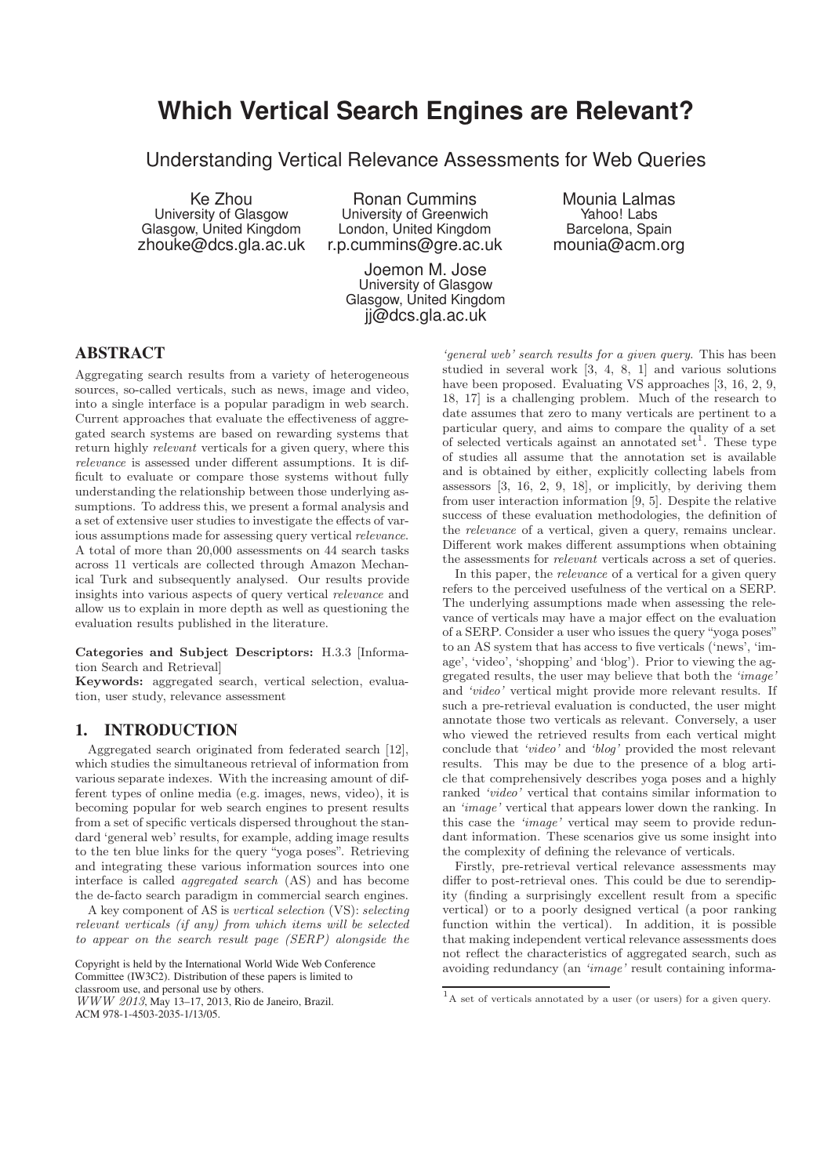# **Which Vertical Search Engines are Relevant?**

Understanding Vertical Relevance Assessments for Web Queries

Ke Zhou University of Glasgow Glasgow, United Kingdom zhouke@dcs.gla.ac.uk

Ronan Cummins University of Greenwich London, United Kingdom r.p.cummins@gre.ac.uk

Joemon M. Jose University of Glasgow Glasgow, United Kingdom jj@dcs.gla.ac.uk

Mounia Lalmas Yahoo! Labs Barcelona, Spain mounia@acm.org

# ABSTRACT

Aggregating search results from a variety of heterogeneous sources, so-called verticals, such as news, image and video, into a single interface is a popular paradigm in web search. Current approaches that evaluate the effectiveness of aggregated search systems are based on rewarding systems that return highly relevant verticals for a given query, where this relevance is assessed under different assumptions. It is difficult to evaluate or compare those systems without fully understanding the relationship between those underlying assumptions. To address this, we present a formal analysis and a set of extensive user studies to investigate the effects of various assumptions made for assessing query vertical relevance. A total of more than 20,000 assessments on 44 search tasks across 11 verticals are collected through Amazon Mechanical Turk and subsequently analysed. Our results provide insights into various aspects of query vertical relevance and allow us to explain in more depth as well as questioning the evaluation results published in the literature.

Categories and Subject Descriptors: H.3.3 [Information Search and Retrieval]

Keywords: aggregated search, vertical selection, evaluation, user study, relevance assessment

# 1. INTRODUCTION

Aggregated search originated from federated search [12], which studies the simultaneous retrieval of information from various separate indexes. With the increasing amount of different types of online media (e.g. images, news, video), it is becoming popular for web search engines to present results from a set of specific verticals dispersed throughout the standard 'general web' results, for example, adding image results to the ten blue links for the query "yoga poses". Retrieving and integrating these various information sources into one interface is called aggregated search (AS) and has become the de-facto search paradigm in commercial search engines.

A key component of AS is vertical selection (VS): selecting relevant verticals (if any) from which items will be selected to appear on the search result page (SERP) alongside the

Copyright is held by the International World Wide Web Conference Committee (IW3C2). Distribution of these papers is limited to classroom use, and personal use by others.

WWW 2013, May 13–17, 2013, Rio de Janeiro, Brazil. ACM 978-1-4503-2035-1/13/05.

'general web' search results for a given query. This has been studied in several work [3, 4, 8, 1] and various solutions have been proposed. Evaluating VS approaches [3, 16, 2, 9, 18, 17] is a challenging problem. Much of the research to date assumes that zero to many verticals are pertinent to a particular query, and aims to compare the quality of a set of selected verticals against an annotated set<sup>1</sup>. These type of studies all assume that the annotation set is available and is obtained by either, explicitly collecting labels from assessors [3, 16, 2, 9, 18], or implicitly, by deriving them from user interaction information [9, 5]. Despite the relative success of these evaluation methodologies, the definition of the relevance of a vertical, given a query, remains unclear. Different work makes different assumptions when obtaining the assessments for relevant verticals across a set of queries.

In this paper, the relevance of a vertical for a given query refers to the perceived usefulness of the vertical on a SERP. The underlying assumptions made when assessing the relevance of verticals may have a major effect on the evaluation of a SERP. Consider a user who issues the query "yoga poses" to an AS system that has access to five verticals ('news', 'image', 'video', 'shopping' and 'blog'). Prior to viewing the aggregated results, the user may believe that both the 'image' and 'video' vertical might provide more relevant results. If such a pre-retrieval evaluation is conducted, the user might annotate those two verticals as relevant. Conversely, a user who viewed the retrieved results from each vertical might conclude that 'video' and 'blog' provided the most relevant results. This may be due to the presence of a blog article that comprehensively describes yoga poses and a highly ranked 'video' vertical that contains similar information to an 'image' vertical that appears lower down the ranking. In this case the 'image' vertical may seem to provide redundant information. These scenarios give us some insight into the complexity of defining the relevance of verticals.

Firstly, pre-retrieval vertical relevance assessments may differ to post-retrieval ones. This could be due to serendipity (finding a surprisingly excellent result from a specific vertical) or to a poorly designed vertical (a poor ranking function within the vertical). In addition, it is possible that making independent vertical relevance assessments does not reflect the characteristics of aggregated search, such as avoiding redundancy (an 'image' result containing informa-

 $^1\mathrm{A}$  set of verticals annotated by a user (or users) for a given query.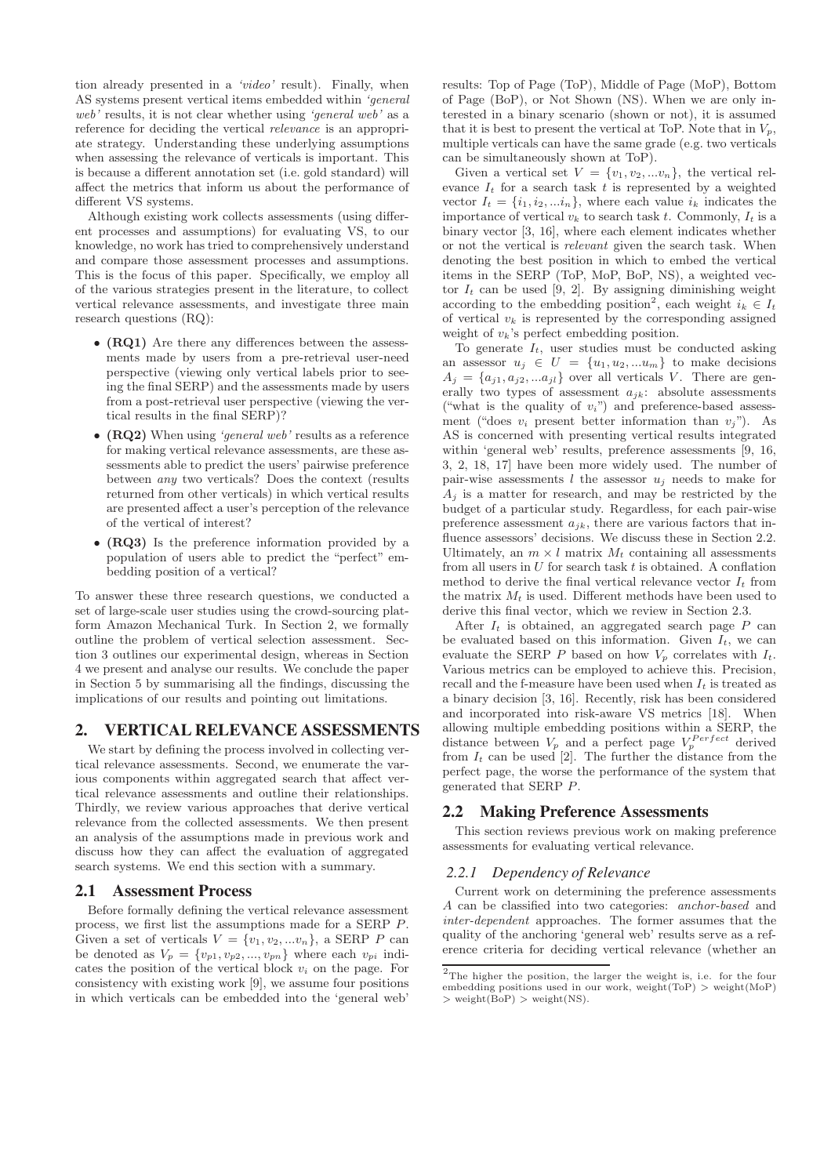tion already presented in a 'video' result). Finally, when AS systems present vertical items embedded within 'general web' results, it is not clear whether using 'general web' as a reference for deciding the vertical relevance is an appropriate strategy. Understanding these underlying assumptions when assessing the relevance of verticals is important. This is because a different annotation set (i.e. gold standard) will affect the metrics that inform us about the performance of different VS systems.

Although existing work collects assessments (using different processes and assumptions) for evaluating VS, to our knowledge, no work has tried to comprehensively understand and compare those assessment processes and assumptions. This is the focus of this paper. Specifically, we employ all of the various strategies present in the literature, to collect vertical relevance assessments, and investigate three main research questions (RQ):

- (RQ1) Are there any differences between the assessments made by users from a pre-retrieval user-need perspective (viewing only vertical labels prior to seeing the final SERP) and the assessments made by users from a post-retrieval user perspective (viewing the vertical results in the final SERP)?
- (RQ2) When using 'general web' results as a reference for making vertical relevance assessments, are these assessments able to predict the users' pairwise preference between any two verticals? Does the context (results returned from other verticals) in which vertical results are presented affect a user's perception of the relevance of the vertical of interest?
- (RQ3) Is the preference information provided by a population of users able to predict the "perfect" embedding position of a vertical?

To answer these three research questions, we conducted a set of large-scale user studies using the crowd-sourcing platform Amazon Mechanical Turk. In Section 2, we formally outline the problem of vertical selection assessment. Section 3 outlines our experimental design, whereas in Section 4 we present and analyse our results. We conclude the paper in Section 5 by summarising all the findings, discussing the implications of our results and pointing out limitations.

# 2. VERTICAL RELEVANCE ASSESSMENTS

We start by defining the process involved in collecting vertical relevance assessments. Second, we enumerate the various components within aggregated search that affect vertical relevance assessments and outline their relationships. Thirdly, we review various approaches that derive vertical relevance from the collected assessments. We then present an analysis of the assumptions made in previous work and discuss how they can affect the evaluation of aggregated search systems. We end this section with a summary.

# 2.1 Assessment Process

Before formally defining the vertical relevance assessment process, we first list the assumptions made for a SERP P. Given a set of verticals  $V = \{v_1, v_2, ... v_n\}$ , a SERP P can be denoted as  $V_p = \{v_{p1}, v_{p2}, ..., v_{pn}\}\$  where each  $v_{pi}$  indicates the position of the vertical block  $v_i$  on the page. For consistency with existing work [9], we assume four positions in which verticals can be embedded into the 'general web'

results: Top of Page (ToP), Middle of Page (MoP), Bottom of Page (BoP), or Not Shown (NS). When we are only interested in a binary scenario (shown or not), it is assumed that it is best to present the vertical at ToP. Note that in  $V_p$ , multiple verticals can have the same grade (e.g. two verticals can be simultaneously shown at ToP).

Given a vertical set  $V = \{v_1, v_2, ... v_n\}$ , the vertical relevance  $I_t$  for a search task t is represented by a weighted vector  $I_t = \{i_1, i_2, \ldots, i_n\}$ , where each value  $i_k$  indicates the importance of vertical  $v_k$  to search task t. Commonly,  $I_t$  is a binary vector [3, 16], where each element indicates whether or not the vertical is relevant given the search task. When denoting the best position in which to embed the vertical items in the SERP (ToP, MoP, BoP, NS), a weighted vector  $I_t$  can be used [9, 2]. By assigning diminishing weight according to the embedding position<sup>2</sup>, each weight  $i_k \in I_t$ of vertical  $v_k$  is represented by the corresponding assigned weight of  $v_k$ 's perfect embedding position.

To generate  $I_t$ , user studies must be conducted asking an assessor  $u_j \in U = \{u_1, u_2, ... u_m\}$  to make decisions  $A_j = \{a_{j1}, a_{j2}, \ldots a_{jl}\}\$  over all verticals V. There are generally two types of assessment  $a_{ik}$ : absolute assessments ("what is the quality of  $v_i$ ") and preference-based assessment ("does  $v_i$  present better information than  $v_j$ "). As AS is concerned with presenting vertical results integrated within 'general web' results, preference assessments [9, 16, 3, 2, 18, 17] have been more widely used. The number of pair-wise assessments  $l$  the assessor  $u_j$  needs to make for  $A_i$  is a matter for research, and may be restricted by the budget of a particular study. Regardless, for each pair-wise preference assessment  $a_{ik}$ , there are various factors that influence assessors' decisions. We discuss these in Section 2.2. Ultimately, an  $m \times l$  matrix  $M_t$  containing all assessments from all users in  $U$  for search task  $t$  is obtained. A conflation method to derive the final vertical relevance vector  $I_t$  from the matrix  $M_t$  is used. Different methods have been used to derive this final vector, which we review in Section 2.3.

After  $I_t$  is obtained, an aggregated search page  $P$  can be evaluated based on this information. Given  $I_t$ , we can evaluate the SERP P based on how  $V_p$  correlates with  $I_t$ . Various metrics can be employed to achieve this. Precision, recall and the f-measure have been used when  $I_t$  is treated as a binary decision [3, 16]. Recently, risk has been considered and incorporated into risk-aware VS metrics [18]. When allowing multiple embedding positions within a SERP, the distance between  $V_p$  and a perfect page  $V_p^{Perfect}$  derived from  $I_t$  can be used [2]. The further the distance from the perfect page, the worse the performance of the system that generated that SERP P.

## 2.2 Making Preference Assessments

This section reviews previous work on making preference assessments for evaluating vertical relevance.

#### *2.2.1 Dependency of Relevance*

Current work on determining the preference assessments A can be classified into two categories: anchor-based and inter-dependent approaches. The former assumes that the quality of the anchoring 'general web' results serve as a reference criteria for deciding vertical relevance (whether an

<sup>&</sup>lt;sup>2</sup>The higher the position, the larger the weight is, i.e. for the four embedding positions used in our work, weight $(ToP)$  > weight $(MoP)$  $>$  weight(BoP)  $>$  weight(NS).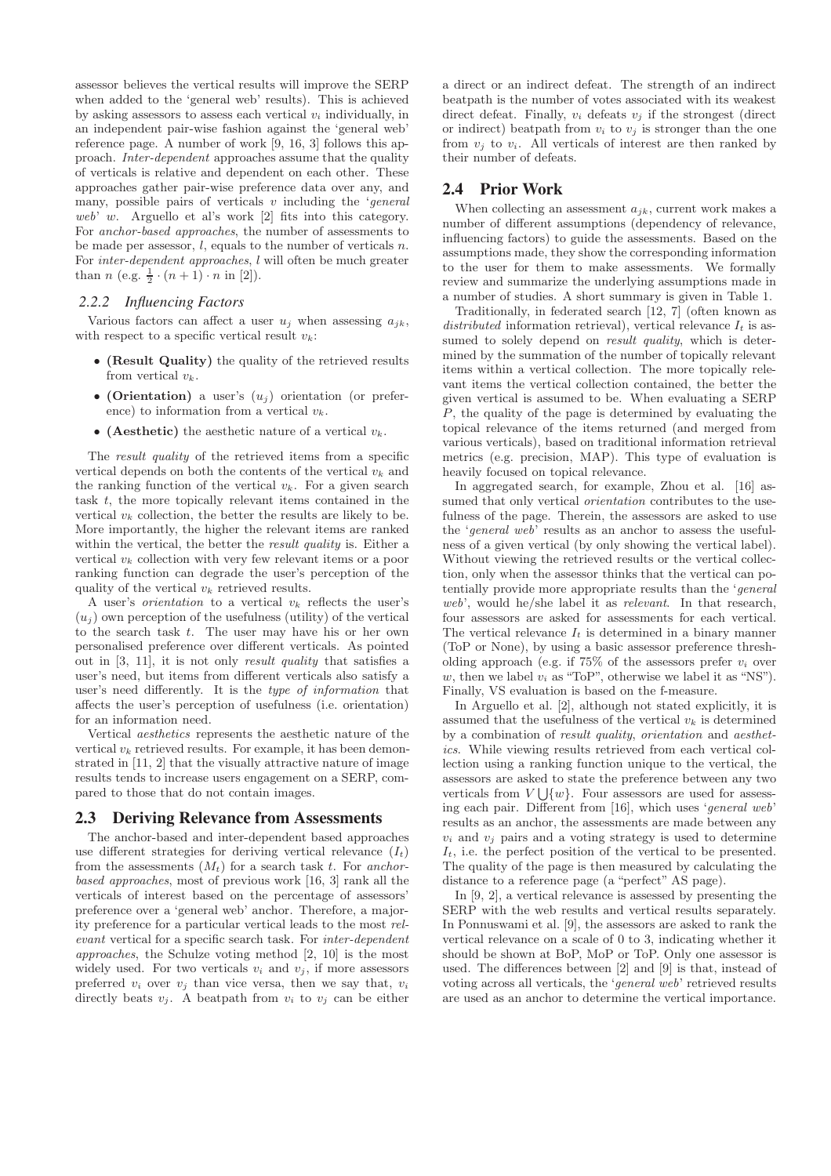assessor believes the vertical results will improve the SERP when added to the 'general web' results). This is achieved by asking assessors to assess each vertical  $v_i$  individually, in an independent pair-wise fashion against the 'general web' reference page. A number of work [9, 16, 3] follows this approach. Inter-dependent approaches assume that the quality of verticals is relative and dependent on each other. These approaches gather pair-wise preference data over any, and many, possible pairs of verticals  $v$  including the 'general web' w. Arguello et al's work [2] fits into this category. For anchor-based approaches, the number of assessments to be made per assessor,  $l$ , equals to the number of verticals  $n$ . For inter-dependent approaches, l will often be much greater than *n* (e.g.  $\frac{1}{2} \cdot (n+1) \cdot n$  in [2]).

#### *2.2.2 Influencing Factors*

Various factors can affect a user  $u_i$ , when assessing  $a_{ik}$ , with respect to a specific vertical result  $v_k$ :

- (Result Quality) the quality of the retrieved results from vertical  $v_k$ .
- (Orientation) a user's  $(u_i)$  orientation (or preference) to information from a vertical  $v_k$ .
- (Aesthetic) the aesthetic nature of a vertical  $v_k$ .

The result quality of the retrieved items from a specific vertical depends on both the contents of the vertical  $v_k$  and the ranking function of the vertical  $v_k$ . For a given search task t, the more topically relevant items contained in the vertical  $v_k$  collection, the better the results are likely to be. More importantly, the higher the relevant items are ranked within the vertical, the better the *result quality* is. Either a vertical  $v_k$  collection with very few relevant items or a poor ranking function can degrade the user's perception of the quality of the vertical  $v_k$  retrieved results.

A user's *orientation* to a vertical  $v_k$  reflects the user's  $(u_i)$  own perception of the usefulness (utility) of the vertical to the search task t. The user may have his or her own personalised preference over different verticals. As pointed out in [3, 11], it is not only result quality that satisfies a user's need, but items from different verticals also satisfy a user's need differently. It is the type of information that affects the user's perception of usefulness (i.e. orientation) for an information need.

Vertical aesthetics represents the aesthetic nature of the vertical  $v_k$  retrieved results. For example, it has been demonstrated in [11, 2] that the visually attractive nature of image results tends to increase users engagement on a SERP, compared to those that do not contain images.

## 2.3 Deriving Relevance from Assessments

The anchor-based and inter-dependent based approaches use different strategies for deriving vertical relevance  $(I_t)$ from the assessments  $(M_t)$  for a search task t. For anchorbased approaches, most of previous work [16, 3] rank all the verticals of interest based on the percentage of assessors' preference over a 'general web' anchor. Therefore, a majority preference for a particular vertical leads to the most relevant vertical for a specific search task. For inter-dependent approaches, the Schulze voting method [2, 10] is the most widely used. For two verticals  $v_i$  and  $v_j$ , if more assessors preferred  $v_i$  over  $v_j$  than vice versa, then we say that,  $v_i$ directly beats  $v_i$ . A beatpath from  $v_i$  to  $v_j$  can be either

a direct or an indirect defeat. The strength of an indirect beatpath is the number of votes associated with its weakest direct defeat. Finally,  $v_i$  defeats  $v_j$  if the strongest (direct or indirect) beatpath from  $v_i$  to  $v_j$  is stronger than the one from  $v_i$  to  $v_i$ . All verticals of interest are then ranked by their number of defeats.

# 2.4 Prior Work

When collecting an assessment  $a_{ik}$ , current work makes a number of different assumptions (dependency of relevance, influencing factors) to guide the assessments. Based on the assumptions made, they show the corresponding information to the user for them to make assessments. We formally review and summarize the underlying assumptions made in a number of studies. A short summary is given in Table 1.

Traditionally, in federated search [12, 7] (often known as distributed information retrieval), vertical relevance  $I_t$  is assumed to solely depend on *result quality*, which is determined by the summation of the number of topically relevant items within a vertical collection. The more topically relevant items the vertical collection contained, the better the given vertical is assumed to be. When evaluating a SERP P, the quality of the page is determined by evaluating the topical relevance of the items returned (and merged from various verticals), based on traditional information retrieval metrics (e.g. precision, MAP). This type of evaluation is heavily focused on topical relevance.

In aggregated search, for example, Zhou et al. [16] assumed that only vertical *orientation* contributes to the usefulness of the page. Therein, the assessors are asked to use the '*general web*' results as an anchor to assess the usefulness of a given vertical (by only showing the vertical label). Without viewing the retrieved results or the vertical collection, only when the assessor thinks that the vertical can potentially provide more appropriate results than the 'general web', would he/she label it as relevant. In that research, four assessors are asked for assessments for each vertical. The vertical relevance  $I_t$  is determined in a binary manner (ToP or None), by using a basic assessor preference thresholding approach (e.g. if 75% of the assessors prefer  $v_i$  over w, then we label  $v_i$  as "ToP", otherwise we label it as "NS"). Finally, VS evaluation is based on the f-measure.

In Arguello et al. [2], although not stated explicitly, it is assumed that the usefulness of the vertical  $v_k$  is determined by a combination of result quality, orientation and aesthetics. While viewing results retrieved from each vertical collection using a ranking function unique to the vertical, the assessors are asked to state the preference between any two verticals from  $V \bigcup \{w\}$ . Four assessors are used for assessing each pair. Different from [16], which uses 'general web' results as an anchor, the assessments are made between any  $v_i$  and  $v_j$  pairs and a voting strategy is used to determine  $I_t$ , i.e. the perfect position of the vertical to be presented. The quality of the page is then measured by calculating the distance to a reference page (a "perfect" AS page).

In [9, 2], a vertical relevance is assessed by presenting the SERP with the web results and vertical results separately. In Ponnuswami et al. [9], the assessors are asked to rank the vertical relevance on a scale of 0 to 3, indicating whether it should be shown at BoP, MoP or ToP. Only one assessor is used. The differences between [2] and [9] is that, instead of voting across all verticals, the 'general web' retrieved results are used as an anchor to determine the vertical importance.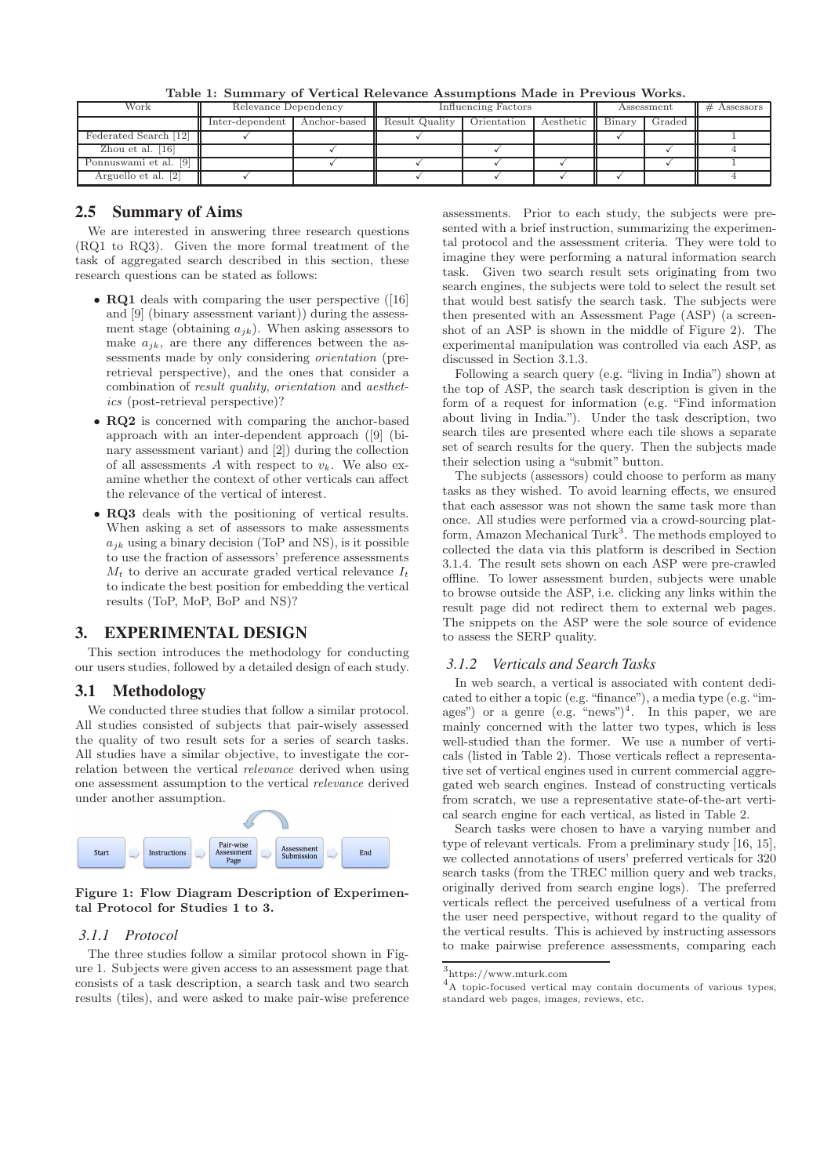| Work                  | Relevance Dependency | Influencing Factors         |                    |                  | Assessment |          | $#$ Assessors |
|-----------------------|----------------------|-----------------------------|--------------------|------------------|------------|----------|---------------|
|                       | Inter-dependent      | Anchor-based Result Quality | <b>Orientation</b> | Aesthetic Binary |            | Graded 1 |               |
| Federated Search [12] |                      |                             |                    |                  |            |          |               |
| Zhou et al. $[16]$    |                      |                             |                    |                  |            |          |               |
| Ponnuswami et al. [9] |                      |                             |                    |                  |            |          |               |
| Arguello et al. [2]   |                      |                             |                    |                  |            |          |               |

Table 1: Summary of Vertical Relevance Assumptions Made in Previous Works.

# 2.5 Summary of Aims

We are interested in answering three research questions (RQ1 to RQ3). Given the more formal treatment of the task of aggregated search described in this section, these research questions can be stated as follows:

- **RQ1** deals with comparing the user perspective ([16] and [9] (binary assessment variant)) during the assessment stage (obtaining  $a_{ik}$ ). When asking assessors to make  $a_{jk}$ , are there any differences between the assessments made by only considering orientation (preretrieval perspective), and the ones that consider a combination of result quality, orientation and aesthetics (post-retrieval perspective)?
- RQ2 is concerned with comparing the anchor-based approach with an inter-dependent approach ([9] (binary assessment variant) and [2]) during the collection of all assessments A with respect to  $v_k$ . We also examine whether the context of other verticals can affect the relevance of the vertical of interest.
- RQ3 deals with the positioning of vertical results. When asking a set of assessors to make assessments  $a_{ik}$  using a binary decision (ToP and NS), is it possible to use the fraction of assessors' preference assessments  $M_t$  to derive an accurate graded vertical relevance  $I_t$ to indicate the best position for embedding the vertical results (ToP, MoP, BoP and NS)?

# 3. EXPERIMENTAL DESIGN

This section introduces the methodology for conducting our users studies, followed by a detailed design of each study.

# 3.1 Methodology

We conducted three studies that follow a similar protocol. All studies consisted of subjects that pair-wisely assessed the quality of two result sets for a series of search tasks. All studies have a similar objective, to investigate the correlation between the vertical relevance derived when using one assessment assumption to the vertical relevance derived under another assumption.



#### Figure 1: Flow Diagram Description of Experimental Protocol for Studies 1 to 3.

#### *3.1.1 Protocol*

The three studies follow a similar protocol shown in Figure 1. Subjects were given access to an assessment page that consists of a task description, a search task and two search results (tiles), and were asked to make pair-wise preference

assessments. Prior to each study, the subjects were presented with a brief instruction, summarizing the experimental protocol and the assessment criteria. They were told to imagine they were performing a natural information search task. Given two search result sets originating from two search engines, the subjects were told to select the result set that would best satisfy the search task. The subjects were then presented with an Assessment Page (ASP) (a screenshot of an ASP is shown in the middle of Figure 2). The experimental manipulation was controlled via each ASP, as discussed in Section 3.1.3.

Following a search query (e.g. "living in India") shown at the top of ASP, the search task description is given in the form of a request for information (e.g. "Find information about living in India."). Under the task description, two search tiles are presented where each tile shows a separate set of search results for the query. Then the subjects made their selection using a "submit" button.

The subjects (assessors) could choose to perform as many tasks as they wished. To avoid learning effects, we ensured that each assessor was not shown the same task more than once. All studies were performed via a crowd-sourcing platform, Amazon Mechanical Turk<sup>3</sup>. The methods employed to collected the data via this platform is described in Section 3.1.4. The result sets shown on each ASP were pre-crawled offline. To lower assessment burden, subjects were unable to browse outside the ASP, i.e. clicking any links within the result page did not redirect them to external web pages. The snippets on the ASP were the sole source of evidence to assess the SERP quality.

# *3.1.2 Verticals and Search Tasks*

In web search, a vertical is associated with content dedicated to either a topic (e.g. "finance"), a media type (e.g. "images") or a genre  $(e.g.$  "news" $)^4$ . In this paper, we are mainly concerned with the latter two types, which is less well-studied than the former. We use a number of verticals (listed in Table 2). Those verticals reflect a representative set of vertical engines used in current commercial aggregated web search engines. Instead of constructing verticals from scratch, we use a representative state-of-the-art vertical search engine for each vertical, as listed in Table 2.

Search tasks were chosen to have a varying number and type of relevant verticals. From a preliminary study [16, 15], we collected annotations of users' preferred verticals for 320 search tasks (from the TREC million query and web tracks, originally derived from search engine logs). The preferred verticals reflect the perceived usefulness of a vertical from the user need perspective, without regard to the quality of the vertical results. This is achieved by instructing assessors to make pairwise preference assessments, comparing each

 $^3$ https://www.mturk.com

 $4A$  topic-focused vertical may contain documents of various types, standard web pages, images, reviews, etc.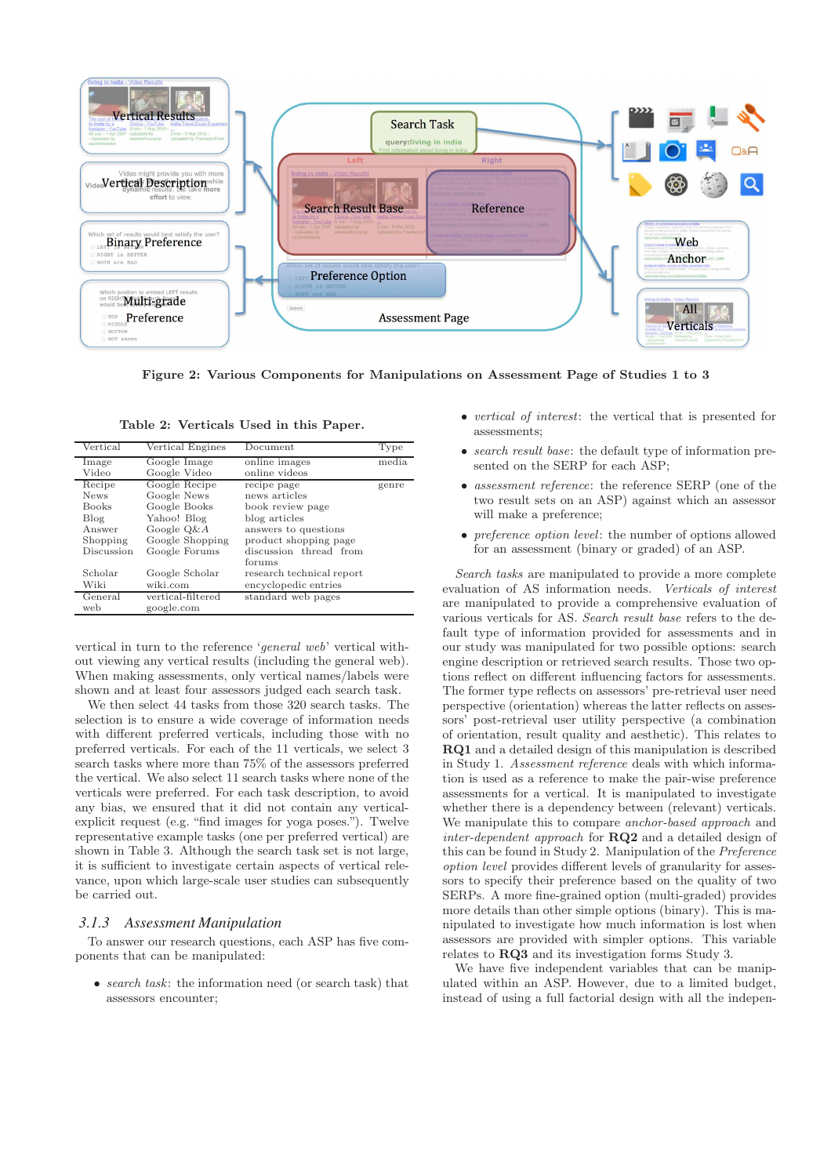

Figure 2: Various Components for Manipulations on Assessment Page of Studies 1 to 3

|  | Table 2: Verticals Used in this Paper. |  |  |  |  |
|--|----------------------------------------|--|--|--|--|
|--|----------------------------------------|--|--|--|--|

| Vertical     | Vertical Engines  | Document                  | Type  |
|--------------|-------------------|---------------------------|-------|
| Image        | Google Image      | online images             | media |
| Video        | Google Video      | online videos             |       |
| Recipe       | Google Recipe     | recipe page               | genre |
| <b>News</b>  | Google News       | news articles             |       |
| <b>Books</b> | Google Books      | book review page          |       |
| Blog         | Yahoo! Blog       | blog articles             |       |
| Answer       | Google $Q\&A$     | answers to questions      |       |
| Shopping     | Google Shopping   | product shopping page     |       |
| Discussion   | Google Forums     | discussion thread from    |       |
|              |                   | forums                    |       |
| Scholar      | Google Scholar    | research technical report |       |
| Wiki         | wiki.com          | encyclopedic entries      |       |
| General      | vertical-filtered | standard web pages        |       |
| web          | google.com        |                           |       |

vertical in turn to the reference 'general web' vertical without viewing any vertical results (including the general web). When making assessments, only vertical names/labels were shown and at least four assessors judged each search task.

We then select 44 tasks from those 320 search tasks. The selection is to ensure a wide coverage of information needs with different preferred verticals, including those with no preferred verticals. For each of the 11 verticals, we select 3 search tasks where more than 75% of the assessors preferred the vertical. We also select 11 search tasks where none of the verticals were preferred. For each task description, to avoid any bias, we ensured that it did not contain any verticalexplicit request (e.g. "find images for yoga poses."). Twelve representative example tasks (one per preferred vertical) are shown in Table 3. Although the search task set is not large, it is sufficient to investigate certain aspects of vertical relevance, upon which large-scale user studies can subsequently be carried out.

#### *3.1.3 Assessment Manipulation*

To answer our research questions, each ASP has five components that can be manipulated:

• search task: the information need (or search task) that assessors encounter;

- vertical of interest: the vertical that is presented for assessments;
- search result base: the default type of information presented on the SERP for each ASP;
- assessment reference: the reference SERP (one of the two result sets on an ASP) against which an assessor will make a preference;
- preference option level: the number of options allowed for an assessment (binary or graded) of an ASP.

Search tasks are manipulated to provide a more complete evaluation of AS information needs. Verticals of interest are manipulated to provide a comprehensive evaluation of various verticals for AS. Search result base refers to the default type of information provided for assessments and in our study was manipulated for two possible options: search engine description or retrieved search results. Those two options reflect on different influencing factors for assessments. The former type reflects on assessors' pre-retrieval user need perspective (orientation) whereas the latter reflects on assessors' post-retrieval user utility perspective (a combination of orientation, result quality and aesthetic). This relates to RQ1 and a detailed design of this manipulation is described in Study 1. Assessment reference deals with which information is used as a reference to make the pair-wise preference assessments for a vertical. It is manipulated to investigate whether there is a dependency between (relevant) verticals. We manipulate this to compare *anchor-based approach* and inter-dependent approach for RQ2 and a detailed design of this can be found in Study 2. Manipulation of the Preference option level provides different levels of granularity for assessors to specify their preference based on the quality of two SERPs. A more fine-grained option (multi-graded) provides more details than other simple options (binary). This is manipulated to investigate how much information is lost when assessors are provided with simpler options. This variable relates to RQ3 and its investigation forms Study 3.

We have five independent variables that can be manipulated within an ASP. However, due to a limited budget, instead of using a full factorial design with all the indepen-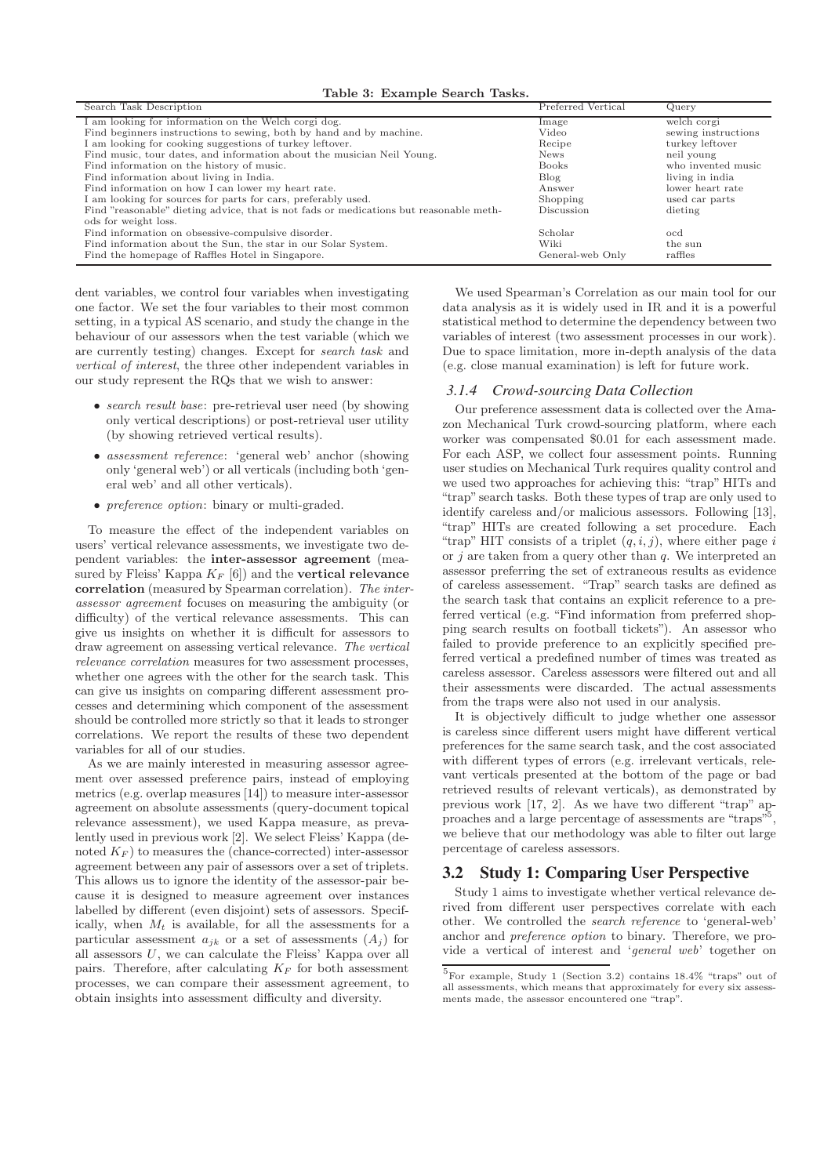| Search Task Description                                                                | <b>Preferred Vertical</b> | Query               |
|----------------------------------------------------------------------------------------|---------------------------|---------------------|
| I am looking for information on the Welch corgi dog.                                   | Image                     | welch corgi         |
| Find beginners instructions to sewing, both by hand and by machine.                    | Video                     | sewing instructions |
| I am looking for cooking suggestions of turkey leftover.                               | Recipe                    | turkey leftover     |
| Find music, tour dates, and information about the musician Neil Young.                 | <b>News</b>               | neil young          |
| Find information on the history of music.                                              | <b>Books</b>              | who invented music  |
| Find information about living in India.                                                | Blog                      | living in india     |
| Find information on how I can lower my heart rate.                                     | Answer                    | lower heart rate    |
| I am looking for sources for parts for cars, preferably used.                          | Shopping                  | used car parts      |
| Find "reasonable" dieting advice, that is not fads or medications but reasonable meth- | Discussion                | dieting             |
| ods for weight loss.                                                                   |                           |                     |
| Find information on obsessive-compulsive disorder.                                     | Scholar                   | ocd                 |
| Find information about the Sun, the star in our Solar System.                          | Wiki                      | the sun             |
| Find the homepage of Raffles Hotel in Singapore.                                       | General-web Only          | raffles             |

dent variables, we control four variables when investigating one factor. We set the four variables to their most common setting, in a typical AS scenario, and study the change in the behaviour of our assessors when the test variable (which we are currently testing) changes. Except for search task and vertical of interest, the three other independent variables in our study represent the RQs that we wish to answer:

- *search result base*: pre-retrieval user need (by showing only vertical descriptions) or post-retrieval user utility (by showing retrieved vertical results).
- *assessment reference*: 'general web' anchor (showing only 'general web') or all verticals (including both 'general web' and all other verticals).
- preference option: binary or multi-graded.

To measure the effect of the independent variables on users' vertical relevance assessments, we investigate two dependent variables: the inter-assessor agreement (measured by Fleiss' Kappa  $K_F$  [6]) and the **vertical relevance** correlation (measured by Spearman correlation). The interassessor agreement focuses on measuring the ambiguity (or difficulty) of the vertical relevance assessments. This can give us insights on whether it is difficult for assessors to draw agreement on assessing vertical relevance. The vertical relevance correlation measures for two assessment processes, whether one agrees with the other for the search task. This can give us insights on comparing different assessment processes and determining which component of the assessment should be controlled more strictly so that it leads to stronger correlations. We report the results of these two dependent variables for all of our studies.

As we are mainly interested in measuring assessor agreement over assessed preference pairs, instead of employing metrics (e.g. overlap measures [14]) to measure inter-assessor agreement on absolute assessments (query-document topical relevance assessment), we used Kappa measure, as prevalently used in previous work [2]. We select Fleiss' Kappa (denoted  $K_F$ ) to measures the (chance-corrected) inter-assessor agreement between any pair of assessors over a set of triplets. This allows us to ignore the identity of the assessor-pair because it is designed to measure agreement over instances labelled by different (even disjoint) sets of assessors. Specifically, when  $M_t$  is available, for all the assessments for a particular assessment  $a_{jk}$  or a set of assessments  $(A_j)$  for all assessors U, we can calculate the Fleiss' Kappa over all pairs. Therefore, after calculating  $K_F$  for both assessment processes, we can compare their assessment agreement, to obtain insights into assessment difficulty and diversity.

We used Spearman's Correlation as our main tool for our data analysis as it is widely used in IR and it is a powerful statistical method to determine the dependency between two variables of interest (two assessment processes in our work). Due to space limitation, more in-depth analysis of the data (e.g. close manual examination) is left for future work.

#### *3.1.4 Crowd-sourcing Data Collection*

Our preference assessment data is collected over the Amazon Mechanical Turk crowd-sourcing platform, where each worker was compensated \$0.01 for each assessment made. For each ASP, we collect four assessment points. Running user studies on Mechanical Turk requires quality control and we used two approaches for achieving this: "trap" HITs and "trap" search tasks. Both these types of trap are only used to identify careless and/or malicious assessors. Following [13], "trap" HITs are created following a set procedure. Each "trap" HIT consists of a triplet  $(q, i, j)$ , where either page i or  $j$  are taken from a query other than  $q$ . We interpreted an assessor preferring the set of extraneous results as evidence of careless assessement. "Trap" search tasks are defined as the search task that contains an explicit reference to a preferred vertical (e.g. "Find information from preferred shopping search results on football tickets"). An assessor who failed to provide preference to an explicitly specified preferred vertical a predefined number of times was treated as careless assessor. Careless assessors were filtered out and all their assessments were discarded. The actual assessments from the traps were also not used in our analysis.

It is objectively difficult to judge whether one assessor is careless since different users might have different vertical preferences for the same search task, and the cost associated with different types of errors (e.g. irrelevant verticals, relevant verticals presented at the bottom of the page or bad retrieved results of relevant verticals), as demonstrated by previous work [17, 2]. As we have two different "trap" approaches and a large percentage of assessments are "traps"<sup>5</sup>, we believe that our methodology was able to filter out large percentage of careless assessors.

## 3.2 Study 1: Comparing User Perspective

Study 1 aims to investigate whether vertical relevance derived from different user perspectives correlate with each other. We controlled the search reference to 'general-web' anchor and preference option to binary. Therefore, we provide a vertical of interest and 'general web' together on

 $^5\rm{For\ example, Study\ 1}$  (Section 3.2) contains  $18.4\%$  "traps" out of all assessments, which means that approximately for every six assessments made, the assessor encountered one "trap".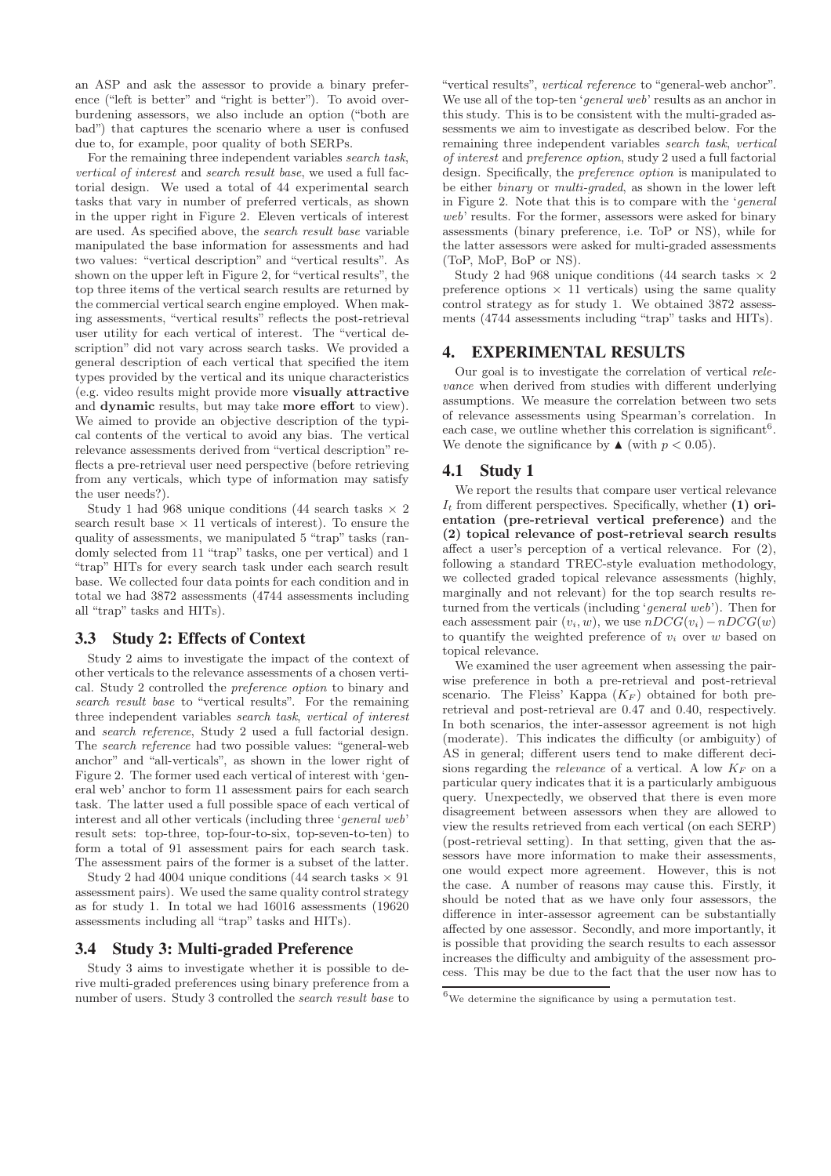an ASP and ask the assessor to provide a binary preference ("left is better" and "right is better"). To avoid overburdening assessors, we also include an option ("both are bad") that captures the scenario where a user is confused due to, for example, poor quality of both SERPs.

For the remaining three independent variables search task, vertical of interest and search result base, we used a full factorial design. We used a total of 44 experimental search tasks that vary in number of preferred verticals, as shown in the upper right in Figure 2. Eleven verticals of interest are used. As specified above, the search result base variable manipulated the base information for assessments and had two values: "vertical description" and "vertical results". As shown on the upper left in Figure 2, for "vertical results", the top three items of the vertical search results are returned by the commercial vertical search engine employed. When making assessments, "vertical results" reflects the post-retrieval user utility for each vertical of interest. The "vertical description" did not vary across search tasks. We provided a general description of each vertical that specified the item types provided by the vertical and its unique characteristics (e.g. video results might provide more visually attractive and dynamic results, but may take more effort to view). We aimed to provide an objective description of the typical contents of the vertical to avoid any bias. The vertical relevance assessments derived from "vertical description" reflects a pre-retrieval user need perspective (before retrieving from any verticals, which type of information may satisfy the user needs?).

Study 1 had 968 unique conditions (44 search tasks  $\times$  2 search result base  $\times$  11 verticals of interest). To ensure the quality of assessments, we manipulated 5 "trap" tasks (randomly selected from 11 "trap" tasks, one per vertical) and 1 "trap" HITs for every search task under each search result base. We collected four data points for each condition and in total we had 3872 assessments (4744 assessments including all "trap" tasks and HITs).

# 3.3 Study 2: Effects of Context

Study 2 aims to investigate the impact of the context of other verticals to the relevance assessments of a chosen vertical. Study 2 controlled the preference option to binary and search result base to "vertical results". For the remaining three independent variables search task, vertical of interest and search reference, Study 2 used a full factorial design. The search reference had two possible values: "general-web anchor" and "all-verticals", as shown in the lower right of Figure 2. The former used each vertical of interest with 'general web' anchor to form 11 assessment pairs for each search task. The latter used a full possible space of each vertical of interest and all other verticals (including three 'general web' result sets: top-three, top-four-to-six, top-seven-to-ten) to form a total of 91 assessment pairs for each search task. The assessment pairs of the former is a subset of the latter.

Study 2 had 4004 unique conditions (44 search tasks  $\times$  91 assessment pairs). We used the same quality control strategy as for study 1. In total we had 16016 assessments (19620 assessments including all "trap" tasks and HITs).

# 3.4 Study 3: Multi-graded Preference

Study 3 aims to investigate whether it is possible to derive multi-graded preferences using binary preference from a number of users. Study 3 controlled the search result base to

"vertical results", vertical reference to "general-web anchor". We use all of the top-ten 'general web' results as an anchor in this study. This is to be consistent with the multi-graded assessments we aim to investigate as described below. For the remaining three independent variables search task, vertical of interest and preference option, study 2 used a full factorial design. Specifically, the *preference option* is manipulated to be either binary or multi-graded, as shown in the lower left in Figure 2. Note that this is to compare with the 'general web' results. For the former, assessors were asked for binary assessments (binary preference, i.e. ToP or NS), while for the latter assessors were asked for multi-graded assessments (ToP, MoP, BoP or NS).

Study 2 had 968 unique conditions (44 search tasks  $\times$  2 preference options  $\times$  11 verticals) using the same quality control strategy as for study 1. We obtained 3872 assessments (4744 assessments including "trap" tasks and HITs).

# 4. EXPERIMENTAL RESULTS

Our goal is to investigate the correlation of vertical relevance when derived from studies with different underlying assumptions. We measure the correlation between two sets of relevance assessments using Spearman's correlation. In each case, we outline whether this correlation is significant<sup>6</sup>. We denote the significance by  $\blacktriangle$  (with  $p < 0.05$ ).

# 4.1 Study 1

We report the results that compare user vertical relevance  $I_t$  from different perspectives. Specifically, whether (1) orientation (pre-retrieval vertical preference) and the (2) topical relevance of post-retrieval search results affect a user's perception of a vertical relevance. For (2), following a standard TREC-style evaluation methodology, we collected graded topical relevance assessments (highly, marginally and not relevant) for the top search results returned from the verticals (including 'general web'). Then for each assessment pair  $(v_i, w)$ , we use  $nDCG(v_i) - nDCG(w)$ to quantify the weighted preference of  $v_i$  over w based on topical relevance.

We examined the user agreement when assessing the pairwise preference in both a pre-retrieval and post-retrieval scenario. The Fleiss' Kappa  $(K_F)$  obtained for both preretrieval and post-retrieval are 0.47 and 0.40, respectively. In both scenarios, the inter-assessor agreement is not high (moderate). This indicates the difficulty (or ambiguity) of AS in general; different users tend to make different decisions regarding the *relevance* of a vertical. A low  $K_F$  on a particular query indicates that it is a particularly ambiguous query. Unexpectedly, we observed that there is even more disagreement between assessors when they are allowed to view the results retrieved from each vertical (on each SERP) (post-retrieval setting). In that setting, given that the assessors have more information to make their assessments, one would expect more agreement. However, this is not the case. A number of reasons may cause this. Firstly, it should be noted that as we have only four assessors, the difference in inter-assessor agreement can be substantially affected by one assessor. Secondly, and more importantly, it is possible that providing the search results to each assessor increases the difficulty and ambiguity of the assessment process. This may be due to the fact that the user now has to

 $^6\rm{We}$  determine the significance by using a permutation test.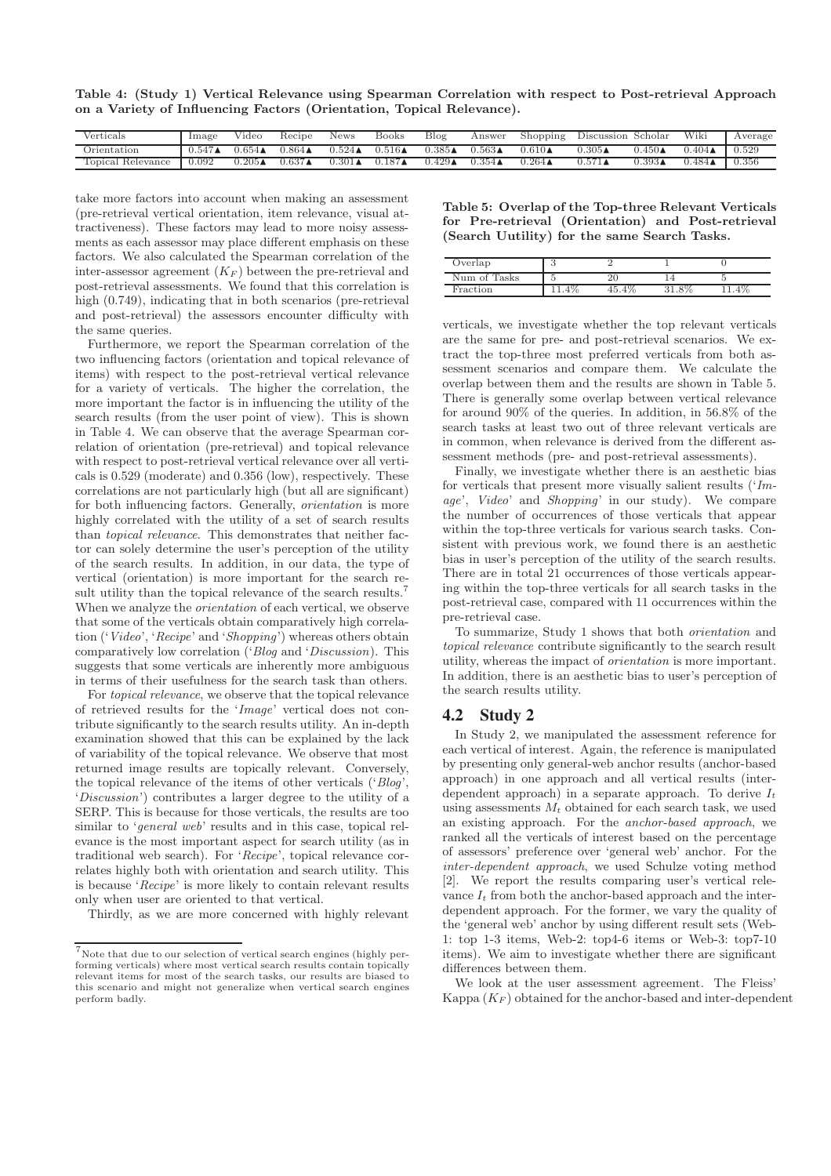Table 4: (Study 1) Vertical Relevance using Spearman Correlation with respect to Post-retrieval Approach on a Variety of Influencing Factors (Orientation, Topical Relevance).

| Verticals         | Image             | Video                 | Recipe                | <b>News</b>                       | Books             | Blog                  | Answer          | Shopping         | Discussion Scholar |                   | Wiki             | Average |
|-------------------|-------------------|-----------------------|-----------------------|-----------------------------------|-------------------|-----------------------|-----------------|------------------|--------------------|-------------------|------------------|---------|
| Orientation       | $0.547 \triangle$ | $0.654\text{A}$       | $0.864\text{A}$       | $0.524 \triangle 0.516 \triangle$ |                   | $0.385\text{A}$       | $0.563\text{A}$ | $0.610\text{A}$  | $0.305 \triangle$  | $0.450\text{A}$   | $0.404\triangle$ | 0.529   |
| Topical Relevance | 0.092             | $0.205\blacktriangle$ | $0.637\blacktriangle$ | $0.301\blacktriangle$             | $0.187 \triangle$ | $0.429\blacktriangle$ | $0.354\text{A}$ | $0.264\triangle$ | $0.571 \triangle$  | $0.393 \triangle$ | $0.484\text{A}$  | 0.356   |

take more factors into account when making an assessment (pre-retrieval vertical orientation, item relevance, visual attractiveness). These factors may lead to more noisy assessments as each assessor may place different emphasis on these factors. We also calculated the Spearman correlation of the inter-assessor agreement  $(K_F)$  between the pre-retrieval and post-retrieval assessments. We found that this correlation is high  $(0.749)$ , indicating that in both scenarios (pre-retrieval and post-retrieval) the assessors encounter difficulty with the same queries.

Furthermore, we report the Spearman correlation of the two influencing factors (orientation and topical relevance of items) with respect to the post-retrieval vertical relevance for a variety of verticals. The higher the correlation, the more important the factor is in influencing the utility of the search results (from the user point of view). This is shown in Table 4. We can observe that the average Spearman correlation of orientation (pre-retrieval) and topical relevance with respect to post-retrieval vertical relevance over all verticals is 0.529 (moderate) and 0.356 (low), respectively. These correlations are not particularly high (but all are significant) for both influencing factors. Generally, orientation is more highly correlated with the utility of a set of search results than topical relevance. This demonstrates that neither factor can solely determine the user's perception of the utility of the search results. In addition, in our data, the type of vertical (orientation) is more important for the search result utility than the topical relevance of the search results.<sup>7</sup> When we analyze the orientation of each vertical, we observe that some of the verticals obtain comparatively high correlation ('Video', 'Recipe' and 'Shopping') whereas others obtain comparatively low correlation ('Blog and 'Discussion). This suggests that some verticals are inherently more ambiguous in terms of their usefulness for the search task than others.

For topical relevance, we observe that the topical relevance of retrieved results for the 'Image' vertical does not contribute significantly to the search results utility. An in-depth examination showed that this can be explained by the lack of variability of the topical relevance. We observe that most returned image results are topically relevant. Conversely, the topical relevance of the items of other verticals ('Blog', 'Discussion') contributes a larger degree to the utility of a SERP. This is because for those verticals, the results are too similar to '*general web*' results and in this case, topical relevance is the most important aspect for search utility (as in traditional web search). For 'Recipe', topical relevance correlates highly both with orientation and search utility. This is because 'Recipe' is more likely to contain relevant results only when user are oriented to that vertical.

Thirdly, as we are more concerned with highly relevant

Table 5: Overlap of the Top-three Relevant Verticals for Pre-retrieval (Orientation) and Post-retrieval (Search Uutility) for the same Search Tasks.

| Overlap      | ັ |    |  |
|--------------|---|----|--|
| Num of Tasks |   | ∠ບ |  |
| Fraction     |   |    |  |

verticals, we investigate whether the top relevant verticals are the same for pre- and post-retrieval scenarios. We extract the top-three most preferred verticals from both assessment scenarios and compare them. We calculate the overlap between them and the results are shown in Table 5. There is generally some overlap between vertical relevance for around 90% of the queries. In addition, in 56.8% of the search tasks at least two out of three relevant verticals are in common, when relevance is derived from the different assessment methods (pre- and post-retrieval assessments).

Finally, we investigate whether there is an aesthetic bias for verticals that present more visually salient results  $('Im$ age', Video' and Shopping' in our study). We compare the number of occurrences of those verticals that appear within the top-three verticals for various search tasks. Consistent with previous work, we found there is an aesthetic bias in user's perception of the utility of the search results. There are in total 21 occurrences of those verticals appearing within the top-three verticals for all search tasks in the post-retrieval case, compared with 11 occurrences within the pre-retrieval case.

To summarize, Study 1 shows that both orientation and topical relevance contribute significantly to the search result utility, whereas the impact of orientation is more important. In addition, there is an aesthetic bias to user's perception of the search results utility.

## 4.2 Study 2

In Study 2, we manipulated the assessment reference for each vertical of interest. Again, the reference is manipulated by presenting only general-web anchor results (anchor-based approach) in one approach and all vertical results (interdependent approach) in a separate approach. To derive  $I_t$ using assessments  $M_t$  obtained for each search task, we used an existing approach. For the anchor-based approach, we ranked all the verticals of interest based on the percentage of assessors' preference over 'general web' anchor. For the inter-dependent approach, we used Schulze voting method [2]. We report the results comparing user's vertical relevance  $I_t$  from both the anchor-based approach and the interdependent approach. For the former, we vary the quality of the 'general web' anchor by using different result sets (Web-1: top 1-3 items, Web-2: top4-6 items or Web-3: top7-10 items). We aim to investigate whether there are significant differences between them.

We look at the user assessment agreement. The Fleiss' Kappa  $(K_F)$  obtained for the anchor-based and inter-dependent

 $7$ Note that due to our selection of vertical search engines (highly performing verticals) where most vertical search results contain topically relevant items for most of the search tasks, our results are biased to this scenario and might not generalize when vertical search engines perform badly.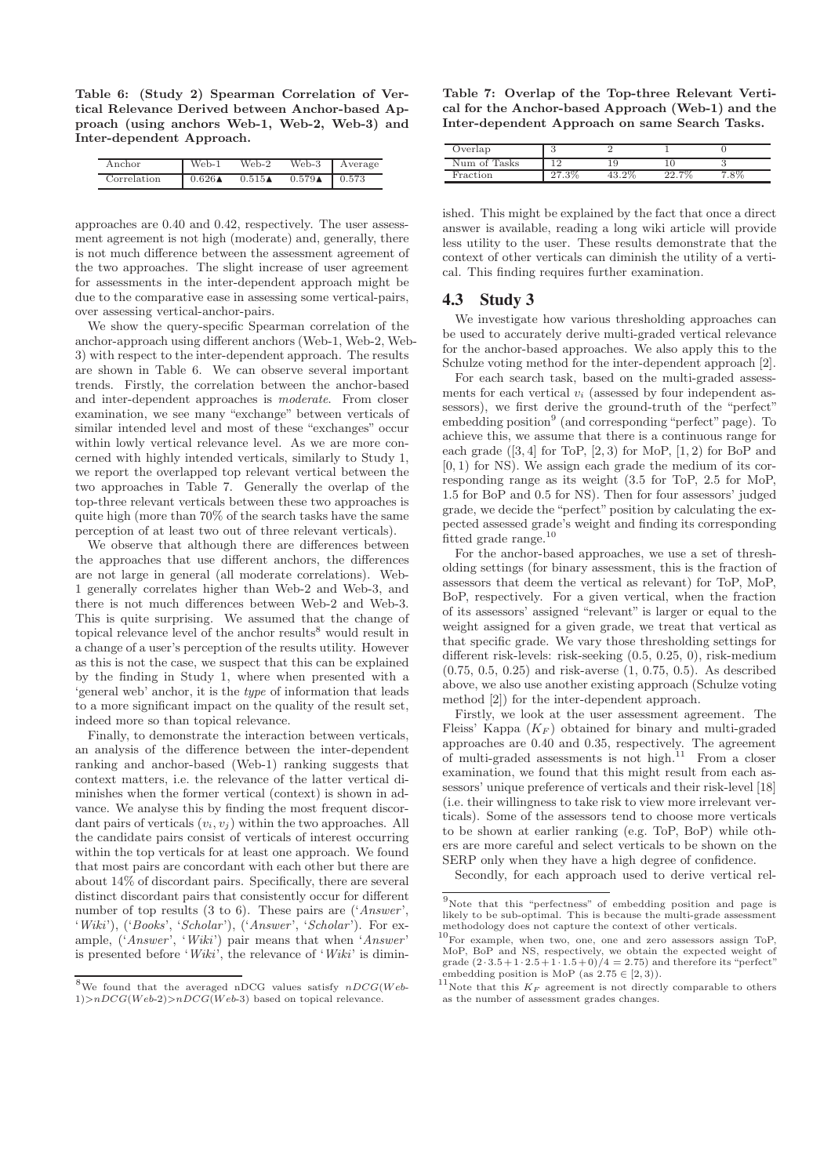Table 6: (Study 2) Spearman Correlation of Vertical Relevance Derived between Anchor-based Approach (using anchors Web-1, Web-2, Web-3) and Inter-dependent Approach.

| Anchor      | Web-1           | Web-2            | Web-3                 | Average |
|-------------|-----------------|------------------|-----------------------|---------|
| Correlation | $0.626\text{A}$ | $0.515\triangle$ | $0.579\blacktriangle$ | 0.573   |

approaches are 0.40 and 0.42, respectively. The user assessment agreement is not high (moderate) and, generally, there is not much difference between the assessment agreement of the two approaches. The slight increase of user agreement for assessments in the inter-dependent approach might be due to the comparative ease in assessing some vertical-pairs, over assessing vertical-anchor-pairs.

We show the query-specific Spearman correlation of the anchor-approach using different anchors (Web-1, Web-2, Web-3) with respect to the inter-dependent approach. The results are shown in Table 6. We can observe several important trends. Firstly, the correlation between the anchor-based and inter-dependent approaches is moderate. From closer examination, we see many "exchange" between verticals of similar intended level and most of these "exchanges" occur within lowly vertical relevance level. As we are more concerned with highly intended verticals, similarly to Study 1, we report the overlapped top relevant vertical between the two approaches in Table 7. Generally the overlap of the top-three relevant verticals between these two approaches is quite high (more than 70% of the search tasks have the same perception of at least two out of three relevant verticals).

We observe that although there are differences between the approaches that use different anchors, the differences are not large in general (all moderate correlations). Web-1 generally correlates higher than Web-2 and Web-3, and there is not much differences between Web-2 and Web-3. This is quite surprising. We assumed that the change of topical relevance level of the anchor  $\operatorname{results}^8$  would result in a change of a user's perception of the results utility. However as this is not the case, we suspect that this can be explained by the finding in Study 1, where when presented with a 'general web' anchor, it is the type of information that leads to a more significant impact on the quality of the result set, indeed more so than topical relevance.

Finally, to demonstrate the interaction between verticals, an analysis of the difference between the inter-dependent ranking and anchor-based (Web-1) ranking suggests that context matters, i.e. the relevance of the latter vertical diminishes when the former vertical (context) is shown in advance. We analyse this by finding the most frequent discordant pairs of verticals  $(v_i, v_j)$  within the two approaches. All the candidate pairs consist of verticals of interest occurring within the top verticals for at least one approach. We found that most pairs are concordant with each other but there are about 14% of discordant pairs. Specifically, there are several distinct discordant pairs that consistently occur for different number of top results (3 to 6). These pairs are ('Answer', 'Wiki'), ('Books', 'Scholar'), ('Answer', 'Scholar'). For example, ('*Answer*', '*Wiki*') pair means that when '*Answer*' is presented before 'Wiki', the relevance of 'Wiki' is dimin-

Table 7: Overlap of the Top-three Relevant Vertical for the Anchor-based Approach (Web-1) and the Inter-dependent Approach on same Search Tasks.

| Overlap      | IJ |  |  |
|--------------|----|--|--|
| Num of Tasks |    |  |  |
| Fraction     |    |  |  |

ished. This might be explained by the fact that once a direct answer is available, reading a long wiki article will provide less utility to the user. These results demonstrate that the context of other verticals can diminish the utility of a vertical. This finding requires further examination.

#### 4.3 Study 3

We investigate how various thresholding approaches can be used to accurately derive multi-graded vertical relevance for the anchor-based approaches. We also apply this to the Schulze voting method for the inter-dependent approach [2].

For each search task, based on the multi-graded assessments for each vertical  $v_i$  (assessed by four independent assessors), we first derive the ground-truth of the "perfect" embedding position<sup>9</sup> (and corresponding "perfect" page). To achieve this, we assume that there is a continuous range for each grade  $([3, 4]$  for ToP,  $[2, 3)$  for MoP,  $[1, 2)$  for BoP and  $[0, 1)$  for NS). We assign each grade the medium of its corresponding range as its weight (3.5 for ToP, 2.5 for MoP, 1.5 for BoP and 0.5 for NS). Then for four assessors' judged grade, we decide the "perfect" position by calculating the expected assessed grade's weight and finding its corresponding fitted grade range. $^{10}$ 

For the anchor-based approaches, we use a set of thresholding settings (for binary assessment, this is the fraction of assessors that deem the vertical as relevant) for ToP, MoP, BoP, respectively. For a given vertical, when the fraction of its assessors' assigned "relevant" is larger or equal to the weight assigned for a given grade, we treat that vertical as that specific grade. We vary those thresholding settings for different risk-levels: risk-seeking (0.5, 0.25, 0), risk-medium (0.75, 0.5, 0.25) and risk-averse (1, 0.75, 0.5). As described above, we also use another existing approach (Schulze voting method [2]) for the inter-dependent approach.

Firstly, we look at the user assessment agreement. The Fleiss' Kappa  $(K_F)$  obtained for binary and multi-graded approaches are 0.40 and 0.35, respectively. The agreement of multi-graded assessments is not high. $11$  From a closer examination, we found that this might result from each assessors' unique preference of verticals and their risk-level [18] (i.e. their willingness to take risk to view more irrelevant verticals). Some of the assessors tend to choose more verticals to be shown at earlier ranking (e.g. ToP, BoP) while others are more careful and select verticals to be shown on the SERP only when they have a high degree of confidence.

Secondly, for each approach used to derive vertical rel-

<sup>11</sup>Note that this  $K_F$  agreement is not directly comparable to others as the number of assessment grades changes.

 $8W$ e found that the averaged nDCG values satisfy  $nDCG(Web-$ 1)>nDCG(Web-2)>nDCG(Web-3) based on topical relevance.

 $9$ Note that this "perfectness" of embedding position and page is likely to be sub-optimal. This is because the multi-grade assessment

methodology does not capture the context of other verticals.  $^{10}$ For example, when two, one, one and zero assessors assign ToP, MoP, BoP and NS, respectively, we obtain the expected weight of grade  $(2 \cdot 3.5 + 1 \cdot 2.5 + 1 \cdot 1.5 + 0)/4 = 2.75$ ) and therefore its "perfect"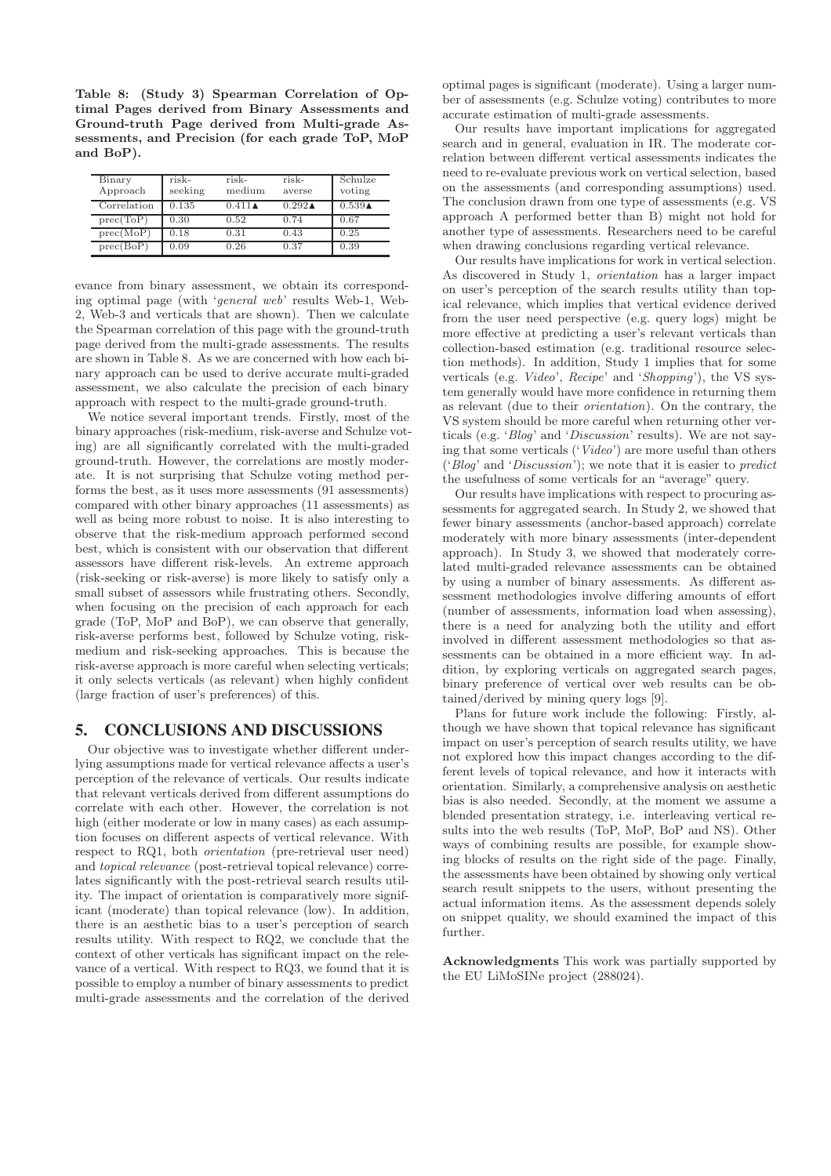Table 8: (Study 3) Spearman Correlation of Optimal Pages derived from Binary Assessments and Ground-truth Page derived from Multi-grade Assessments, and Precision (for each grade ToP, MoP and BoP).

| Binary<br>Approach | risk-<br>seeking | risk-<br>medium   | risk-<br>averse   | Schulze<br>voting |
|--------------------|------------------|-------------------|-------------------|-------------------|
| Correlation        | 0.135            | $0.411 \triangle$ | $0.292 \triangle$ | $0.539\triangle$  |
| prec(ToP)          | 0.30             | 0.52              | 0.74              | 0.67              |
| prec(MoP)          | 0.18             | 0.31              | 0.43              | 0.25              |
| prec(BoP)          | 0.09             | 0.26              | 0.37              | 0.39              |

evance from binary assessment, we obtain its corresponding optimal page (with 'general web' results Web-1, Web-2, Web-3 and verticals that are shown). Then we calculate the Spearman correlation of this page with the ground-truth page derived from the multi-grade assessments. The results are shown in Table 8. As we are concerned with how each binary approach can be used to derive accurate multi-graded assessment, we also calculate the precision of each binary approach with respect to the multi-grade ground-truth.

We notice several important trends. Firstly, most of the binary approaches (risk-medium, risk-averse and Schulze voting) are all significantly correlated with the multi-graded ground-truth. However, the correlations are mostly moderate. It is not surprising that Schulze voting method performs the best, as it uses more assessments (91 assessments) compared with other binary approaches (11 assessments) as well as being more robust to noise. It is also interesting to observe that the risk-medium approach performed second best, which is consistent with our observation that different assessors have different risk-levels. An extreme approach (risk-seeking or risk-averse) is more likely to satisfy only a small subset of assessors while frustrating others. Secondly, when focusing on the precision of each approach for each grade (ToP, MoP and BoP), we can observe that generally, risk-averse performs best, followed by Schulze voting, riskmedium and risk-seeking approaches. This is because the risk-averse approach is more careful when selecting verticals; it only selects verticals (as relevant) when highly confident (large fraction of user's preferences) of this.

# 5. CONCLUSIONS AND DISCUSSIONS

Our objective was to investigate whether different underlying assumptions made for vertical relevance affects a user's perception of the relevance of verticals. Our results indicate that relevant verticals derived from different assumptions do correlate with each other. However, the correlation is not high (either moderate or low in many cases) as each assumption focuses on different aspects of vertical relevance. With respect to RQ1, both *orientation* (pre-retrieval user need) and topical relevance (post-retrieval topical relevance) correlates significantly with the post-retrieval search results utility. The impact of orientation is comparatively more significant (moderate) than topical relevance (low). In addition, there is an aesthetic bias to a user's perception of search results utility. With respect to RQ2, we conclude that the context of other verticals has significant impact on the relevance of a vertical. With respect to RQ3, we found that it is possible to employ a number of binary assessments to predict multi-grade assessments and the correlation of the derived

optimal pages is significant (moderate). Using a larger number of assessments (e.g. Schulze voting) contributes to more accurate estimation of multi-grade assessments.

Our results have important implications for aggregated search and in general, evaluation in IR. The moderate correlation between different vertical assessments indicates the need to re-evaluate previous work on vertical selection, based on the assessments (and corresponding assumptions) used. The conclusion drawn from one type of assessments (e.g. VS approach A performed better than B) might not hold for another type of assessments. Researchers need to be careful when drawing conclusions regarding vertical relevance.

Our results have implications for work in vertical selection. As discovered in Study 1, orientation has a larger impact on user's perception of the search results utility than topical relevance, which implies that vertical evidence derived from the user need perspective (e.g. query logs) might be more effective at predicting a user's relevant verticals than collection-based estimation (e.g. traditional resource selection methods). In addition, Study 1 implies that for some verticals (e.g. Video', Recipe' and 'Shopping'), the VS system generally would have more confidence in returning them as relevant (due to their orientation). On the contrary, the VS system should be more careful when returning other verticals (e.g. 'Blog' and 'Discussion' results). We are not saying that some verticals ('Video') are more useful than others ('Blog' and 'Discussion'); we note that it is easier to predict the usefulness of some verticals for an "average" query.

Our results have implications with respect to procuring assessments for aggregated search. In Study 2, we showed that fewer binary assessments (anchor-based approach) correlate moderately with more binary assessments (inter-dependent approach). In Study 3, we showed that moderately correlated multi-graded relevance assessments can be obtained by using a number of binary assessments. As different assessment methodologies involve differing amounts of effort (number of assessments, information load when assessing), there is a need for analyzing both the utility and effort involved in different assessment methodologies so that assessments can be obtained in a more efficient way. In addition, by exploring verticals on aggregated search pages, binary preference of vertical over web results can be obtained/derived by mining query logs [9].

Plans for future work include the following: Firstly, although we have shown that topical relevance has significant impact on user's perception of search results utility, we have not explored how this impact changes according to the different levels of topical relevance, and how it interacts with orientation. Similarly, a comprehensive analysis on aesthetic bias is also needed. Secondly, at the moment we assume a blended presentation strategy, i.e. interleaving vertical results into the web results (ToP, MoP, BoP and NS). Other ways of combining results are possible, for example showing blocks of results on the right side of the page. Finally, the assessments have been obtained by showing only vertical search result snippets to the users, without presenting the actual information items. As the assessment depends solely on snippet quality, we should examined the impact of this further.

Acknowledgments This work was partially supported by the EU LiMoSINe project (288024).